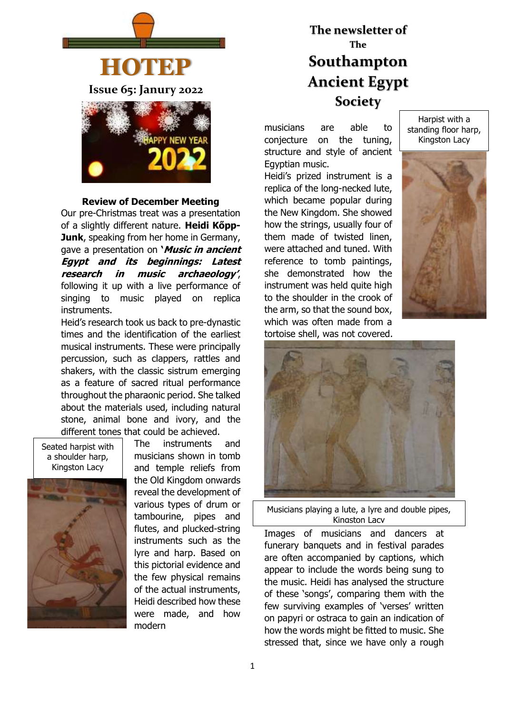

#### **Review of December Meeting**

Our pre-Christmas treat was a presentation of a slightly different nature. **Heidi Kőpp-Junk**, speaking from her home in Germany, gave a presentation on **'Music in ancient Egypt and its beginnings: Latest research in music archaeology'**, following it up with a live performance of singing to music played on replica instruments.

Heid's research took us back to pre-dynastic times and the identification of the earliest musical instruments. These were principally percussion, such as clappers, rattles and shakers, with the classic sistrum emerging as a feature of sacred ritual performance throughout the pharaonic period. She talked about the materials used, including natural stone, animal bone and ivory, and the different tones that could be achieved.





The instruments and musicians shown in tomb and temple reliefs from the Old Kingdom onwards reveal the development of various types of drum or tambourine, pipes and flutes, and plucked-string instruments such as the lyre and harp. Based on this pictorial evidence and the few physical remains of the actual instruments, Heidi described how these were made, and how modern

# **The newsletter of The Southampton Ancient Egypt Society**

musicians are able to conjecture on the tuning, structure and style of ancient Egyptian music.

Heidi's prized instrument is a replica of the long-necked lute, which became popular during the New Kingdom. She showed how the strings, usually four of them made of twisted linen, were attached and tuned. With reference to tomb paintings, she demonstrated how the instrument was held quite high to the shoulder in the crook of the arm, so that the sound box, which was often made from a tortoise shell, was not covered.

Harpist with a standing floor harp, Kingston Lacy





Musicians playing a lute, a lyre and double pipes, Kingston Lacv

Images of musicians and dancers at funerary banquets and in festival parades are often accompanied by captions, which appear to include the words being sung to the music. Heidi has analysed the structure of these 'songs', comparing them with the few surviving examples of 'verses' written on papyri or ostraca to gain an indication of how the words might be fitted to music. She stressed that, since we have only a rough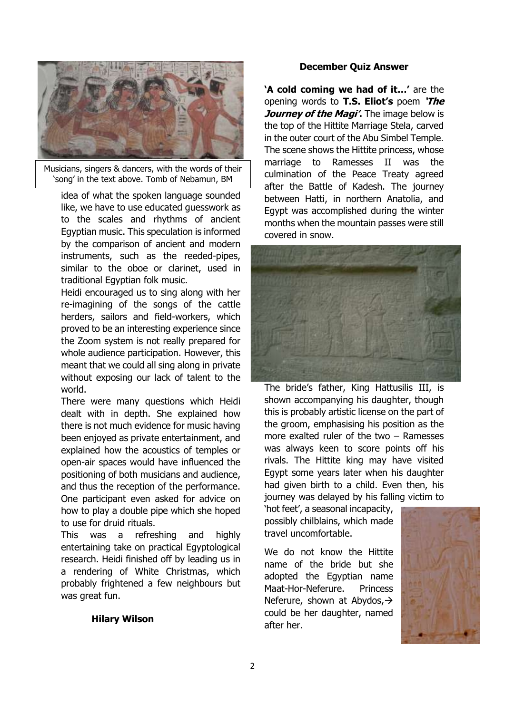

Musicians, singers & dancers, with the words of their 'song' in the text above. Tomb of Nebamun, BM

idea of what the spoken language sounded like, we have to use educated guesswork as to the scales and rhythms of ancient Egyptian music. This speculation is informed by the comparison of ancient and modern instruments, such as the reeded-pipes, similar to the oboe or clarinet, used in traditional Egyptian folk music.

Heidi encouraged us to sing along with her re-imagining of the songs of the cattle herders, sailors and field-workers, which proved to be an interesting experience since the Zoom system is not really prepared for whole audience participation. However, this meant that we could all sing along in private without exposing our lack of talent to the world.

There were many questions which Heidi dealt with in depth. She explained how there is not much evidence for music having been enjoyed as private entertainment, and explained how the acoustics of temples or open-air spaces would have influenced the positioning of both musicians and audience, and thus the reception of the performance. One participant even asked for advice on how to play a double pipe which she hoped to use for druid rituals.

This was a refreshing and highly entertaining take on practical Egyptological research. Heidi finished off by leading us in a rendering of White Christmas, which probably frightened a few neighbours but was great fun.

#### **Hilary Wilson**

#### **December Quiz Answer**

**'A cold coming we had of it…'** are the opening words to **T.S. Eliot's** poem **'The**  *Journey of the Magi'***. The image below is** the top of the Hittite Marriage Stela, carved in the outer court of the Abu Simbel Temple. The scene shows the Hittite princess, whose marriage to Ramesses II was the culmination of the Peace Treaty agreed after the Battle of Kadesh. The journey between Hatti, in northern Anatolia, and Egypt was accomplished during the winter months when the mountain passes were still covered in snow.



The bride's father, King Hattusilis III, is shown accompanying his daughter, though this is probably artistic license on the part of the groom, emphasising his position as the more exalted ruler of the two – Ramesses was always keen to score points off his rivals. The Hittite king may have visited Egypt some years later when his daughter had given birth to a child. Even then, his journey was delayed by his falling victim to

'hot feet', a seasonal incapacity, possibly chilblains, which made travel uncomfortable.

We do not know the Hittite name of the bride but she adopted the Egyptian name Maat-Hor-Neferure. Princess Neferure, shown at Abydos, → could be her daughter, named after her.

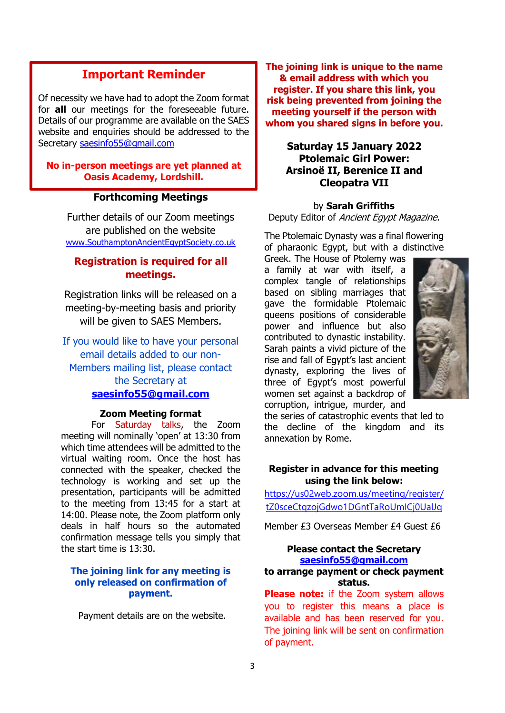# **Important Reminder**

Of necessity we have had to adopt the Zoom format for **all** our meetings for the foreseeable future. Details of our programme are available on the SAES website and enquiries should be addressed to the Secretary [saesinfo55@gmail.com](mailto:saesinfo55@gmail.com)

**No in-person meetings are yet planned at Oasis Academy, Lordshill.**

#### **Forthcoming Meetings**

Further details of our Zoom meetings are published on the website [www.SouthamptonAncientEgyptSociety.co.uk](http://www.southamptonancientegyptsociety.co.uk/)

# **Registration is required for all meetings.**

Registration links will be released on a meeting-by-meeting basis and priority will be given to SAES Members.

If you would like to have your personal email details added to our non-Members mailing list, please contact the Secretary at **[saesinfo55@gmail.com](mailto:saesinfo55@gmail.com)**

#### **Zoom Meeting format**

For Saturday talks, the Zoom meeting will nominally 'open' at 13:30 from which time attendees will be admitted to the virtual waiting room. Once the host has connected with the speaker, checked the technology is working and set up the presentation, participants will be admitted to the meeting from 13:45 for a start at 14:00. Please note, the Zoom platform only deals in half hours so the automated confirmation message tells you simply that the start time is 13:30.

#### **The joining link for any meeting is only released on confirmation of payment.**

Payment details are on the website.

**The joining link is unique to the name & email address with which you register. If you share this link, you risk being prevented from joining the meeting yourself if the person with whom you shared signs in before you.**

# **Saturday 15 January 2022 Ptolemaic Girl Power: Arsinoё II, Berenice II and Cleopatra VII**

#### by **Sarah Griffiths**

Deputy Editor of Ancient Egypt Magazine.

The Ptolemaic Dynasty was a final flowering of pharaonic Egypt, but with a distinctive

Greek. The House of Ptolemy was a family at war with itself, a complex tangle of relationships based on sibling marriages that gave the formidable Ptolemaic queens positions of considerable power and influence but also contributed to dynastic instability. Sarah paints a vivid picture of the rise and fall of Egypt's last ancient dynasty, exploring the lives of three of Egypt's most powerful women set against a backdrop of corruption, intrigue, murder, and



the series of catastrophic events that led to the decline of the kingdom and its annexation by Rome.

#### **Register in advance for this meeting using the link below:**

[https://us02web.zoom.us/meeting/register/](https://us02web.zoom.us/meeting/register/tZ0sceCtqzojGdwo1DGntTaRoUmICj0UalJq) [tZ0sceCtqzojGdwo1DGntTaRoUmICj0UalJq](https://us02web.zoom.us/meeting/register/tZ0sceCtqzojGdwo1DGntTaRoUmICj0UalJq)

Member £3 Overseas Member £4 Guest £6

#### **Please contact the Secretary [saesinfo55@gmail.com](mailto:saesinfo55@gmail.com) to arrange payment or check payment status.**

**Please note:** if the Zoom system allows you to register this means a place is available and has been reserved for you. The joining link will be sent on confirmation of payment.